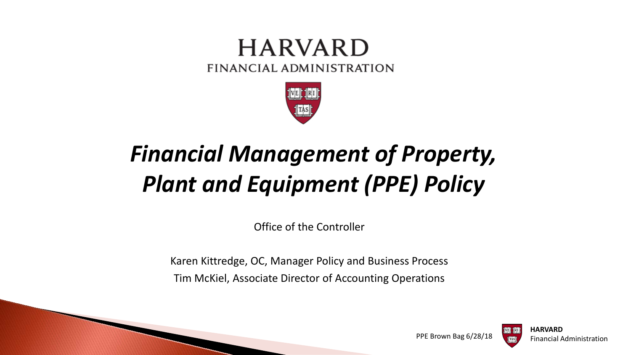#### **HARVARD** FINANCIAL ADMINISTRATION



# *Financial Management of Property, Plant and Equipment (PPE) Policy*

Office of the Controller

Karen Kittredge, OC, Manager Policy and Business Process Tim McKiel, Associate Director of Accounting Operations



PPE Brown Bag 6/28/18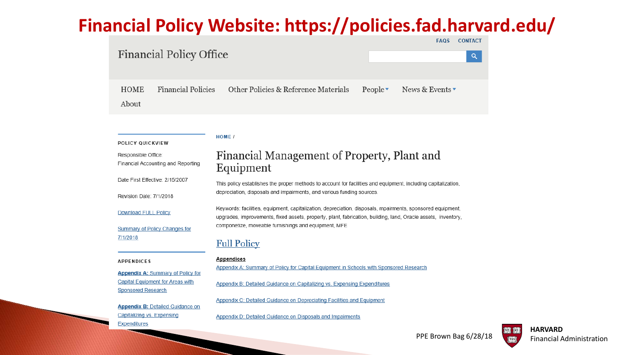#### **Financial Policy Website: https://policies.fad.harvard.edu/**

#### **FAQS Financial Policy Office Financial Policies** Other Policies & Reference Materials **HOME** People $\overline{\phantom{a}}$ News & Events About

#### **HOME** /

POLICY QUICKVIEW

#### Financial Management of Property, Plant and Responsible Office: Financial Accounting and Reporting Equipment Date First Effective: 2/15/2007 This policy establishes the proper methods to account for facilities and equipment, including capitalization, depreciation, disposals and impairments, and various funding sources. Revision Date: 7/1/2018 Keywords: facilities, equipment, capitalization, depreciation, disposals, mpairments, sponsored equipment, **Download FULL Policy** upgrades, improvements, fixed assets, property, plant, fabrication, building, land, Oracle assets, inventory, componetize, moveable furnishings and equipment, MFE Summary of Policy Changes for 7/1/2018 **Full Policy Appendices APPENDICES** Appendix A: Summary of Policy for Capital Equipment in Schools with Sponsored Research **Appendix A: Summary of Policy for Capital Equipment for Areas with** Appendix B: Detailed Guidance on Capitalizing vs. Expensing Expenditures **Sponsored Research** Appendix C: Detailed Guidance on Depreciating Facilities and Equipment **Appendix B: Detailed Guidance on** Capitalizing vs. Expensing Appendix D: Detailed Guidance on Disposals and Impairments **Expenditures**

**CONTACT** 

 $\alpha$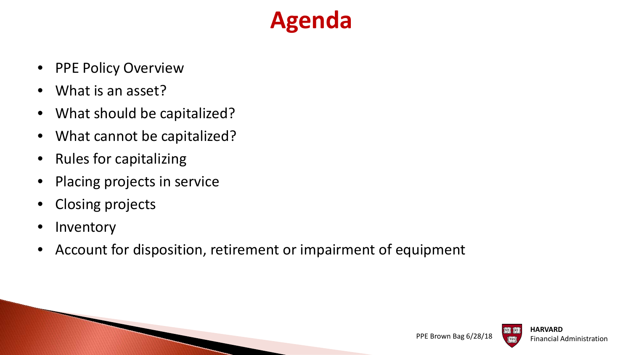## **Agenda**

- PPE Policy Overview
- What is an asset?
- What should be capitalized?
- What cannot be capitalized?
- Rules for capitalizing
- Placing projects in service
- Closing projects
- Inventory
- Account for disposition, retirement or impairment of equipment

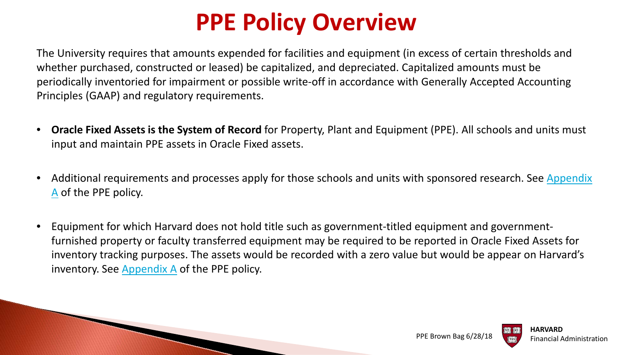## **PPE Policy Overview**

The University requires that amounts expended for facilities and equipment (in excess of certain thresholds and whether purchased, constructed or leased) be capitalized, and depreciated. Capitalized amounts must be periodically inventoried for impairment or possible write-off in accordance with Generally Accepted Accounting Principles (GAAP) and regulatory requirements.

- **Oracle Fixed Assets is the System of Record** for Property, Plant and Equipment (PPE). All schools and units must input and maintain PPE assets in Oracle Fixed assets.
- Additional requirements and processes apply for those schools and units with sponsored research. See Appendix A of the PPE policy.
- Equipment for which Harvard does not hold title such as government-titled equipment and governmentfurnished property or faculty transferred equipment may be required to be reported in Oracle Fixed Assets for inventory tracking purposes. The assets would be recorded with a zero value but would be appear on Harvard's inventory. See [Appendix A](https://policies.fad.harvard.edu/pages/facilities-and-equipment) of the PPE policy.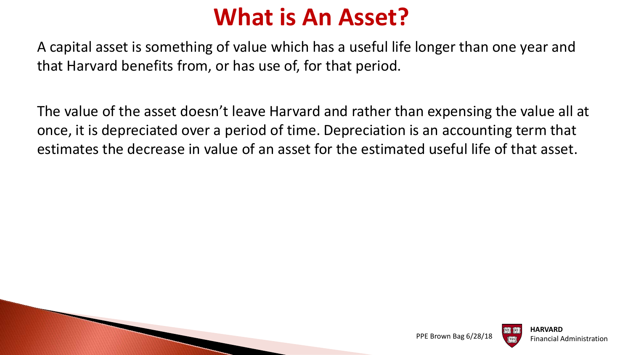### **What is An Asset?**

A capital asset is something of value which has a useful life longer than one year and that Harvard benefits from, or has use of, for that period.

The value of the asset doesn't leave Harvard and rather than expensing the value all at once, it is depreciated over a period of time. Depreciation is an accounting term that estimates the decrease in value of an asset for the estimated useful life of that asset.



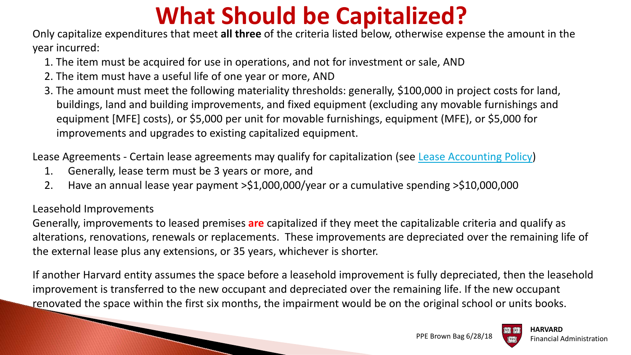## **What Should be Capitalized?**

Only capitalize expenditures that meet **all three** of the criteria listed below, otherwise expense the amount in the year incurred:

- 1. The item must be acquired for use in operations, and not for investment or sale, AND
- 2. The item must have a useful life of one year or more, AND
- 3. The amount must meet the following materiality thresholds: generally, \$100,000 in project costs for land, buildings, land and building improvements, and fixed equipment (excluding any movable furnishings and equipment [MFE] costs), or \$5,000 per unit for movable furnishings, equipment (MFE), or \$5,000 for improvements and upgrades to existing capitalized equipment.

Lease Agreements - Certain lease agreements may qualify for capitalization (see [Lease Accounting Policy\)](https://policies.fad.harvard.edu/files/fad_policies/)

1. Generally, lease term must be 3 years or more, and

2. Have an annual lease year payment >\$1,000,000/year or a cumulative spending >\$10,000,000

#### Leasehold Improvements

Generally, improvements to leased premises **are** capitalized if they meet the capitalizable criteria and qualify as alterations, renovations, renewals or replacements. These improvements are depreciated over the remaining life of the external lease plus any extensions, or 35 years, whichever is shorter.

If another Harvard entity assumes the space before a leasehold improvement is fully depreciated, then the leasehold improvement is transferred to the new occupant and depreciated over the remaining life. If the new occupant renovated the space within the first six months, the impairment would be on the original school or units books.

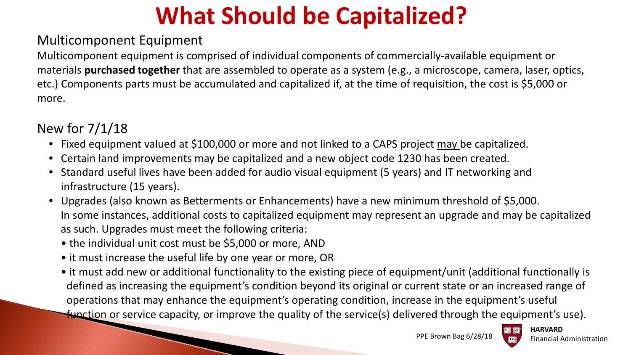# **What Should be Capitalized?**

#### Multicomponent Equipment

Multicomponent equipment is comprised of individual components of commercially-available equipment or materials **purchased together** that are assembled to operate as a system (e.g., a microscope, camera, laser, optics, etc.) Components parts must be accumulated and capitalized if, at the time of requisition, the cost is \$5,000 or more.

#### New for 7/1/18

- Fixed equipment valued at \$100,000 or more and not linked to a CAPS project may be capitalized.
- Certain land improvements may be capitalized and a new object code 1230 has been created.
- Standard useful lives have been added for audio visual equipment (5 years) and IT networking and infrastructure (15 years).
- Upgrades (also known as Betterments or Enhancements) have a new minimum threshold of \$5,000. In some instances, additional costs to capitalized equipment may represent an upgrade and may be capitalized as such. Upgrades must meet the following criteria:
	- the individual unit cost must be \$5,000 or more, AND
	- it must increase the useful life by one year or more, OR
	- it must add new or additional functionality to the existing piece of equipment/unit (additional functionally is defined as increasing the equipment's condition beyond its original or current state or an increased range of operations that may enhance the equipment's operating condition, increase in the equipment's useful function or service capacity, or improve the quality of the service(s) delivered through the equipment's use).



**HARVARD**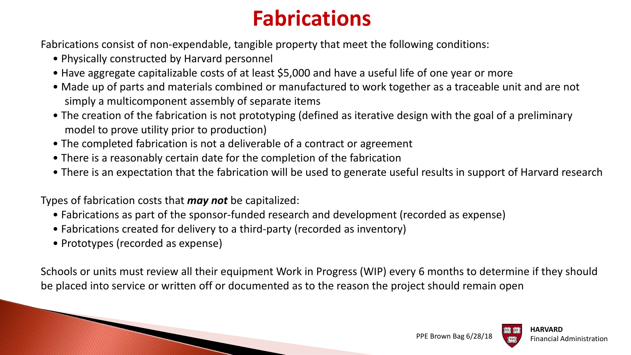### **Fabrications**

Fabrications consist of non-expendable, tangible property that meet the following conditions:

- Physically constructed by Harvard personnel
- Have aggregate capitalizable costs of at least \$5,000 and have a useful life of one year or more
- Made up of parts and materials combined or manufactured to work together as a traceable unit and are not simply a multicomponent assembly of separate items
- The creation of the fabrication is not prototyping (defined as iterative design with the goal of a preliminary model to prove utility prior to production)
- The completed fabrication is not a deliverable of a contract or agreement
- There is a reasonably certain date for the completion of the fabrication
- There is an expectation that the fabrication will be used to generate useful results in support of Harvard research

Types of fabrication costs that *may not* be capitalized:

- Fabrications as part of the sponsor-funded research and development (recorded as expense)
- Fabrications created for delivery to a third-party (recorded as inventory)
- Prototypes (recorded as expense)

Schools or units must review all their equipment Work in Progress (WIP) every 6 months to determine if they should be placed into service or written off or documented as to the reason the project should remain open

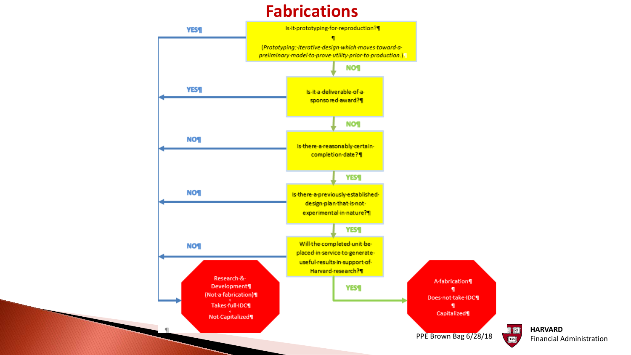#### **Fabrications**

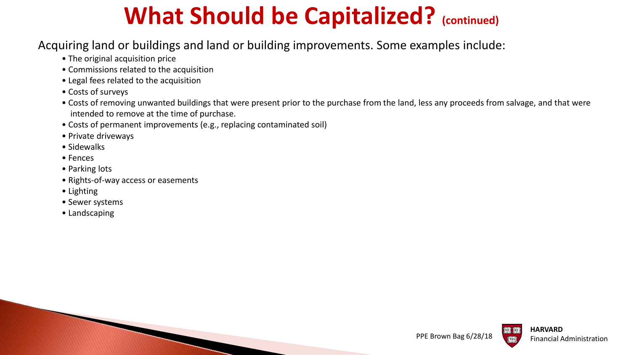## **What Should be Capitalized? (continued)**

#### Acquiring land or buildings and land or building improvements. Some examples include:

- The original acquisition price
- Commissions related to the acquisition
- Legal fees related to the acquisition
- Costs of surveys
- Costs of removing unwanted buildings that were present prior to the purchase from the land, less any proceeds from salvage, and that were intended to remove at the time of purchase.
- Costs of permanent improvements (e.g., replacing contaminated soil)
- Private driveways
- Sidewalks
- Fences
- Parking lots
- Rights-of-way access or easements
- Lighting
- Sewer systems
- Landscaping



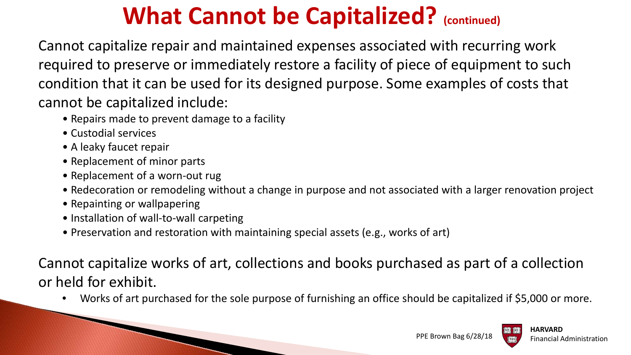## **What Cannot be Capitalized?** (continued)

Cannot capitalize repair and maintained expenses associated with recurring work required to preserve or immediately restore a facility of piece of equipment to such condition that it can be used for its designed purpose. Some examples of costs that cannot be capitalized include:

- Repairs made to prevent damage to a facility
- Custodial services
- A leaky faucet repair
- Replacement of minor parts
- Replacement of a worn-out rug
- Redecoration or remodeling without a change in purpose and not associated with a larger renovation project
- Repainting or wallpapering
- Installation of wall-to-wall carpeting

**CONTRACTOR** 

• Preservation and restoration with maintaining special assets (e.g., works of art)

Cannot capitalize works of art, collections and books purchased as part of a collection or held for exhibit.

• Works of art purchased for the sole purpose of furnishing an office should be capitalized if \$5,000 or more.

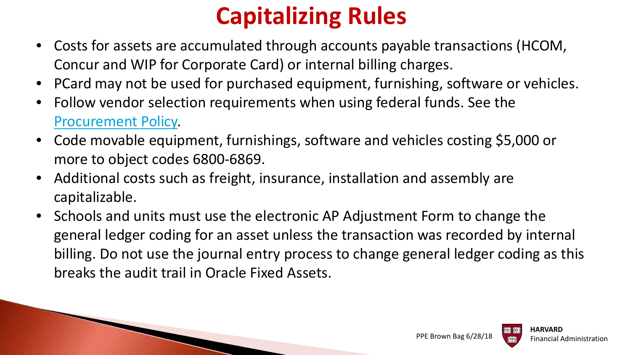## **Capitalizing Rules**

- Costs for assets are accumulated through accounts payable transactions (HCOM, Concur and WIP for Corporate Card) or internal billing charges.
- PCard may not be used for purchased equipment, furnishing, software or vehicles.
- Follow vendor selection requirements when using federal funds. See the [Procurement Policy.](https://policies.fad.harvard.edu/procurement)
- Code movable equipment, furnishings, software and vehicles costing \$5,000 or more to object codes 6800-6869.
- Additional costs such as freight, insurance, installation and assembly are capitalizable.
- Schools and units must use the electronic AP Adjustment Form to change the general ledger coding for an asset unless the transaction was recorded by internal billing. Do not use the journal entry process to change general ledger coding as this breaks the audit trail in Oracle Fixed Assets.

PPE Brown Bag 6/28/18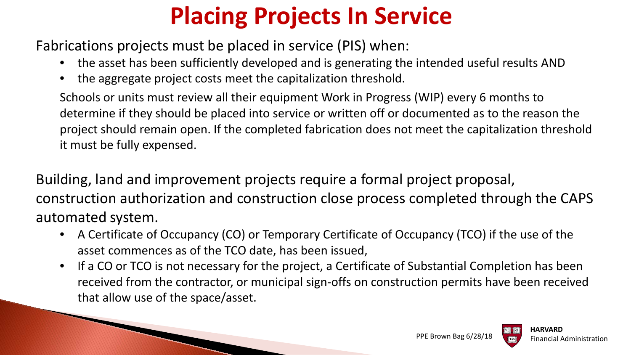# **Placing Projects In Service**

Fabrications projects must be placed in service (PIS) when:

**CONTRACTOR** 

- the asset has been sufficiently developed and is generating the intended useful results AND
- the aggregate project costs meet the capitalization threshold.

Schools or units must review all their equipment Work in Progress (WIP) every 6 months to determine if they should be placed into service or written off or documented as to the reason the project should remain open. If the completed fabrication does not meet the capitalization threshold it must be fully expensed.

Building, land and improvement projects require a formal project proposal, construction authorization and construction close process completed through the CAPS automated system.

- A Certificate of Occupancy (CO) or Temporary Certificate of Occupancy (TCO) if the use of the asset commences as of the TCO date, has been issued,
- If a CO or TCO is not necessary for the project, a Certificate of Substantial Completion has been received from the contractor, or municipal sign-offs on construction permits have been received that allow use of the space/asset.

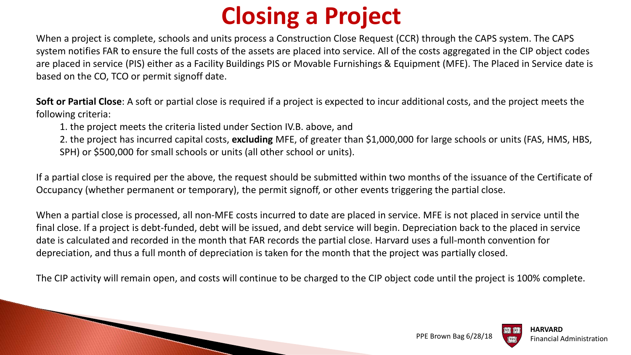## **Closing a Project**

When a project is complete, schools and units process a Construction Close Request (CCR) through the CAPS system. The CAPS system notifies FAR to ensure the full costs of the assets are placed into service. All of the costs aggregated in the CIP object codes are placed in service (PIS) either as a Facility Buildings PIS or Movable Furnishings & Equipment (MFE). The Placed in Service date is based on the CO, TCO or permit signoff date.

**Soft or Partial Close**: A soft or partial close is required if a project is expected to incur additional costs, and the project meets the following criteria:

1. the project meets the criteria listed under Section IV.B. above, and

2. the project has incurred capital costs, **excluding** MFE, of greater than \$1,000,000 for large schools or units (FAS, HMS, HBS, SPH) or \$500,000 for small schools or units (all other school or units).

If a partial close is required per the above, the request should be submitted within two months of the issuance of the Certificate of Occupancy (whether permanent or temporary), the permit signoff, or other events triggering the partial close.

When a partial close is processed, all non-MFE costs incurred to date are placed in service. MFE is not placed in service until the final close. If a project is debt-funded, debt will be issued, and debt service will begin. Depreciation back to the placed in service date is calculated and recorded in the month that FAR records the partial close. Harvard uses a full-month convention for depreciation, and thus a full month of depreciation is taken for the month that the project was partially closed.

The CIP activity will remain open, and costs will continue to be charged to the CIP object code until the project is 100% complete.

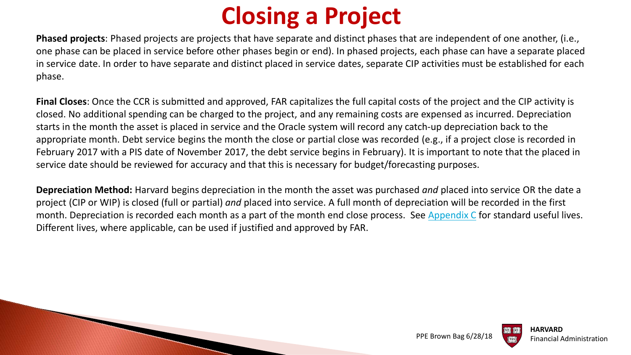## **Closing a Project**

**Phased projects**: Phased projects are projects that have separate and distinct phases that are independent of one another, (i.e., one phase can be placed in service before other phases begin or end). In phased projects, each phase can have a separate placed in service date. In order to have separate and distinct placed in service dates, separate CIP activities must be established for each phase.

**Final Closes**: Once the CCR is submitted and approved, FAR capitalizes the full capital costs of the project and the CIP activity is closed. No additional spending can be charged to the project, and any remaining costs are expensed as incurred. Depreciation starts in the month the asset is placed in service and the Oracle system will record any catch-up depreciation back to the appropriate month. Debt service begins the month the close or partial close was recorded (e.g., if a project close is recorded in February 2017 with a PIS date of November 2017, the debt service begins in February). It is important to note that the placed in service date should be reviewed for accuracy and that this is necessary for budget/forecasting purposes.

**Depreciation Method:** Harvard begins depreciation in the month the asset was purchased *and* placed into service OR the date a project (CIP or WIP) is closed (full or partial) *and* placed into service. A full month of depreciation will be recorded in the first month. Depreciation is recorded each month as a part of the month end close process. See [Appendix C](https://policies.fad.harvard.edu/pages/facilities-and-equipment) for standard useful lives. Different lives, where applicable, can be used if justified and approved by FAR.

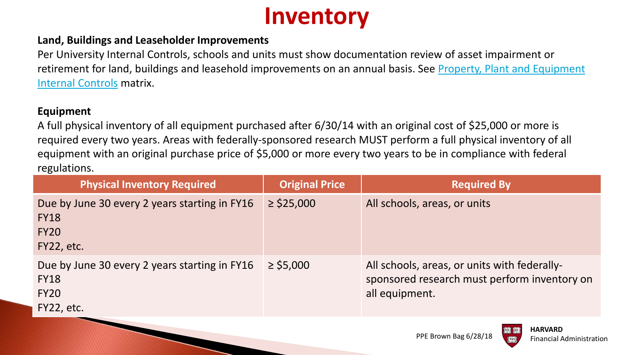

#### **Land, Buildings and Leaseholder Improvements**

Per University Internal Controls, schools and units must show documentation review of asset impairment or [retirement for land, buildings and leasehold improvements on an annual basis. See Property, Plant and Equipment](https://www.pin1.harvard.edu/cas/login?service=https://www.pin1.harvard.edu/pin/authenticate?redirect%3Dhttps%3A//hwpi.harvard.edu/internalcontrols/business-cycle-controls-matrices%26tk_forward%3D0%26__authen_application%3DCADM_HUIT_ATS_AWS_HWPI) Internal Controls matrix.

#### **Equipment**

A full physical inventory of all equipment purchased after 6/30/14 with an original cost of \$25,000 or more is required every two years. Areas with federally-sponsored research MUST perform a full physical inventory of all equipment with an original purchase price of \$5,000 or more every two years to be in compliance with federal regulations.

| <b>Physical Inventory Required</b>                                                        | <b>Original Price</b> | <b>Required By</b>                                                                                             |
|-------------------------------------------------------------------------------------------|-----------------------|----------------------------------------------------------------------------------------------------------------|
| Due by June 30 every 2 years starting in FY16<br><b>FY18</b><br><b>FY20</b><br>FY22, etc. | $\ge$ \$25,000        | All schools, areas, or units                                                                                   |
| Due by June 30 every 2 years starting in FY16<br><b>FY18</b><br><b>FY20</b><br>FY22, etc. | $\ge$ \$5,000         | All schools, areas, or units with federally-<br>sponsored research must perform inventory on<br>all equipment. |
|                                                                                           |                       | HARVARD                                                                                                        |

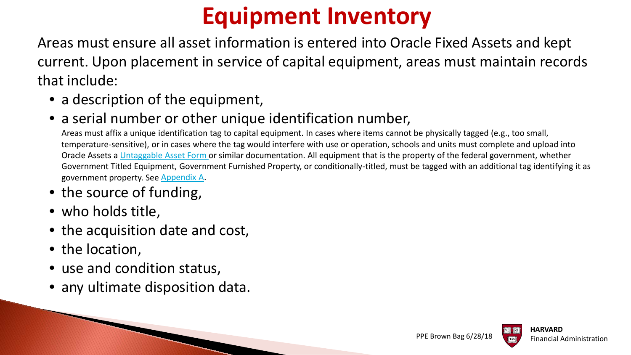## **Equipment Inventory**

Areas must ensure all asset information is entered into Oracle Fixed Assets and kept current. Upon placement in service of capital equipment, areas must maintain records that include:

• a description of the equipment,

#### • a serial number or other unique identification number,

Areas must affix a unique identification tag to capital equipment. In cases where items cannot be physically tagged (e.g., too small, temperature-sensitive), or in cases where the tag would interfere with use or operation, schools and units must complete and upload into Oracle Assets a [Untaggable Asset Form](https://oc.finance.harvard.edu/resources/forms-templates/fixed-asset-accounting) or similar documentation. All equipment that is the property of the federal government, whether Government Titled Equipment, Government Furnished Property, or conditionally-titled, must be tagged with an additional tag identifying it as government property. See [Appendix A](https://policies.fad.harvard.edu/pages/facilities-and-equipment).

#### • the source of funding,

- who holds title,
- the acquisition date and cost,
- the location,
- use and condition status,
- any ultimate disposition data.

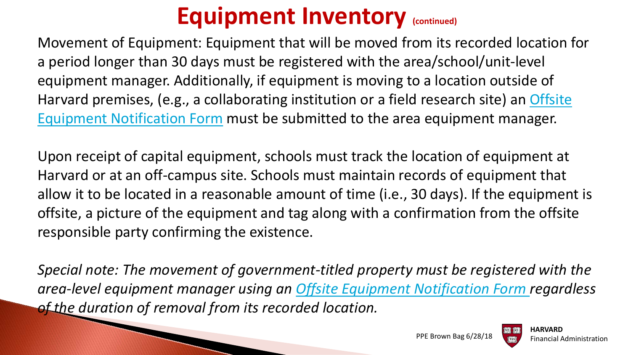### **Equipment Inventory (continued)**

Movement of Equipment: Equipment that will be moved from its recorded location for a period longer than 30 days must be registered with the area/school/unit-level equipment manager. Additionally, if equipment is moving to a location outside of [Harvard premises, \(e.g., a collaborating institution or a field research site\) an Offsite](https://oc.finance.harvard.edu/resources/forms-templates/fixed-asset-accounting) Equipment Notification Form must be submitted to the area equipment manager.

Upon receipt of capital equipment, schools must track the location of equipment at Harvard or at an off-campus site. Schools must maintain records of equipment that allow it to be located in a reasonable amount of time (i.e., 30 days). If the equipment is offsite, a picture of the equipment and tag along with a confirmation from the offsite responsible party confirming the existence.

*Special note: The movement of government-titled property must be registered with the area-level equipment manager using an [Offsite Equipment Notification Form r](https://oc.finance.harvard.edu/resources/forms-templates/fixed-asset-accounting)egardless of the duration of removal from its recorded location.*

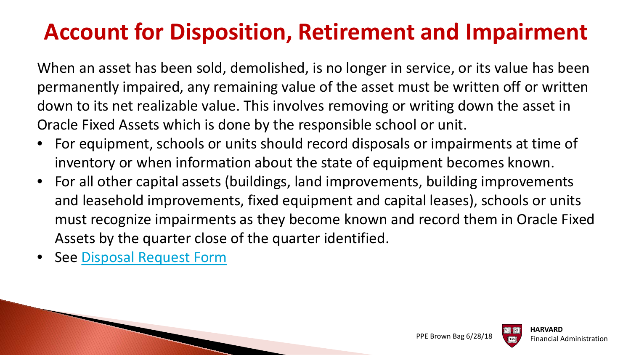### **Account for Disposition, Retirement and Impairment**

When an asset has been sold, demolished, is no longer in service, or its value has been permanently impaired, any remaining value of the asset must be written off or written down to its net realizable value. This involves removing or writing down the asset in Oracle Fixed Assets which is done by the responsible school or unit.

- For equipment, schools or units should record disposals or impairments at time of inventory or when information about the state of equipment becomes known.
- For all other capital assets (buildings, land improvements, building improvements and leasehold improvements, fixed equipment and capital leases), schools or units must recognize impairments as they become known and record them in Oracle Fixed Assets by the quarter close of the quarter identified.
- See [Disposal Request Form](https://oc.finance.harvard.edu/resources/forms-templates/fixed-asset-accounting)



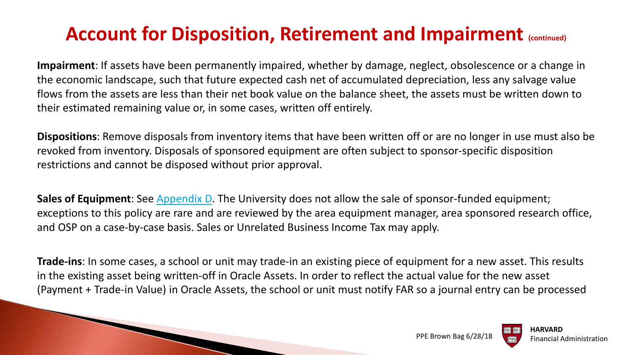### Account for Disposition, Retirement and Impairment (continued)

**Impairment**: If assets have been permanently impaired, whether by damage, neglect, obsolescence or a change in the economic landscape, such that future expected cash net of accumulated depreciation, less any salvage value flows from the assets are less than their net book value on the balance sheet, the assets must be written down to their estimated remaining value or, in some cases, written off entirely.

**Dispositions**: Remove disposals from inventory items that have been written off or are no longer in use must also be revoked from inventory. Disposals of sponsored equipment are often subject to sponsor-specific disposition restrictions and cannot be disposed without prior approval.

**Sales of Equipment**: See [Appendix D](https://policies.fad.harvard.edu/pages/facilities-and-equipment). The University does not allow the sale of sponsor-funded equipment; exceptions to this policy are rare and are reviewed by the area equipment manager, area sponsored research office, and OSP on a case-by-case basis. Sales or Unrelated Business Income Tax may apply.

**Trade-ins**: In some cases, a school or unit may trade-in an existing piece of equipment for a new asset. This results in the existing asset being written-off in Oracle Assets. In order to reflect the actual value for the new asset (Payment + Trade-in Value) in Oracle Assets, the school or unit must notify FAR so a journal entry can be processed



PPE Brown Bag 6/28/18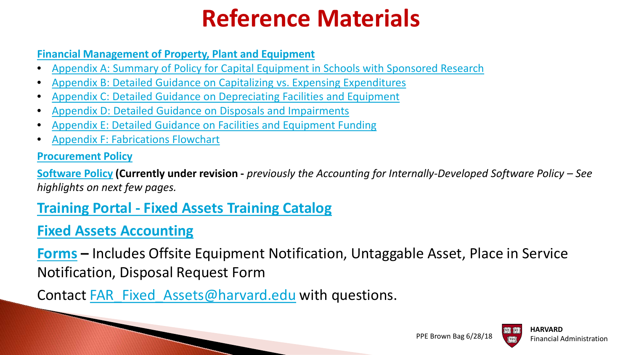## **Reference Materials**

#### **[Financial Management of Property, Plant and Equipment](https://policies.fad.harvard.edu/pages/facilities-and-equipment)**

- [Appendix A: Summary of Policy for Capital Equipment in Schools with Sponsored Research](https://policies.fad.harvard.edu/files/fad_policies/files/final_ppe_appendix_a.pdf)
- [Appendix B: Detailed Guidance on Capitalizing vs. Expensing Expenditures](https://policies.fad.harvard.edu/files/fad_policies/files/final_ppe_appendix_b.pdf)
- [Appendix C: Detailed Guidance on Depreciating Facilities and Equipment](https://policies.fad.harvard.edu/files/fad_policies/files/final_ppe_appendix_c.pdf)
- [Appendix D: Detailed Guidance on Disposals and Impairments](https://policies.fad.harvard.edu/files/fad_policies/files/final_ppe_appendix_d.pdf)
- [Appendix E: Detailed Guidance on Facilities and Equipment Funding](https://policies.fad.harvard.edu/files/fad_policies/files/final_ppe_appendix_e.pdf)
- [Appendix F: Fabrications Flowchart](https://policies.fad.harvard.edu/files/fad_policies/files/final_ppe_appendix_f.pdf)

#### **[Procurement Policy](https://policies.fad.harvard.edu/procurement)**

**[Software Policy](https://policies.fad.harvard.edu/accounting-internally-developed-software) (Currently under revision -** *previously the Accounting for Internally-Developed Software Policy – See highlights on next few pages.*

#### **Training Portal - [Fixed Assets Training Catalog](https://trainingportal.harvard.edu/Saba/Web_spf/NA1PRD0068/common/categorydetail/categ000000000002872/true)**

#### **[Fixed Assets Accounting](https://oc.finance.harvard.edu/resources/forms-templates/fixed-asset-accounting)**

**[Forms](https://oc.finance.harvard.edu/resources/forms-templates/fixed-asset-accounting) –** Includes Offsite Equipment Notification, Untaggable Asset, Place in Service Notification, Disposal Request Form

Contact [FAR\\_Fixed\\_Assets@harvard.edu](mailto:FAR_Fixed_Assets@harvard.edu) with questions.



PPE Brown Bag 6/28/18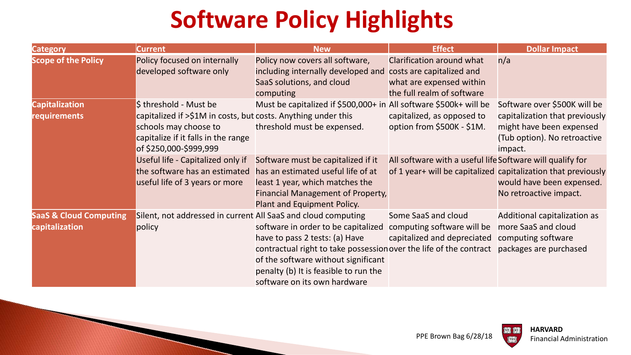# **Software Policy Highlights**

| <b>Category</b>                                     | <b>Current</b>                                                                                                                                          | <b>New</b>                                                                                                                                                                                                                                                  | <b>Effect</b>                                                                                                              | <b>Dollar Impact</b>                                                                                  |
|-----------------------------------------------------|---------------------------------------------------------------------------------------------------------------------------------------------------------|-------------------------------------------------------------------------------------------------------------------------------------------------------------------------------------------------------------------------------------------------------------|----------------------------------------------------------------------------------------------------------------------------|-------------------------------------------------------------------------------------------------------|
| <b>Scope of the Policy</b>                          | Policy focused on internally<br>developed software only                                                                                                 | Policy now covers all software,<br>including internally developed and<br>SaaS solutions, and cloud<br>computing                                                                                                                                             | Clarification around what<br>costs are capitalized and<br>what are expensed within<br>the full realm of software           | n/a                                                                                                   |
| <b>Capitalization</b>                               | \$ threshold - Must be                                                                                                                                  | Must be capitalized if \$500,000+ in All software \$500k+ will be                                                                                                                                                                                           |                                                                                                                            | Software over \$500K will be                                                                          |
| requirements                                        | capitalized if >\$1M in costs, but costs. Anything under this<br>schools may choose to<br>capitalize if it falls in the range<br>of \$250,000-\$999,999 | threshold must be expensed.                                                                                                                                                                                                                                 | capitalized, as opposed to<br>option from \$500K - \$1M.                                                                   | capitalization that previously<br>might have been expensed<br>(Tub option). No retroactive<br>impact. |
|                                                     | Useful life - Capitalized only if<br>the software has an estimated<br>useful life of 3 years or more                                                    | Software must be capitalized if it<br>has an estimated useful life of at<br>least 1 year, which matches the<br>Financial Management of Property,<br>Plant and Equipment Policy.                                                                             | All software with a useful life Software will qualify for<br>of 1 year+ will be capitalized capitalization that previously | would have been expensed.<br>No retroactive impact.                                                   |
| <b>SaaS &amp; Cloud Computing</b><br>capitalization | Silent, not addressed in current All SaaS and cloud computing<br>policy                                                                                 | software in order to be capitalized<br>have to pass 2 tests: (a) Have<br>contractual right to take possession over the life of the contract<br>of the software without significant<br>penalty (b) It is feasible to run the<br>software on its own hardware | Some SaaS and cloud<br>computing software will be<br>capitalized and depreciated                                           | Additional capitalization as<br>more SaaS and cloud<br>computing software<br>packages are purchased   |



**Just**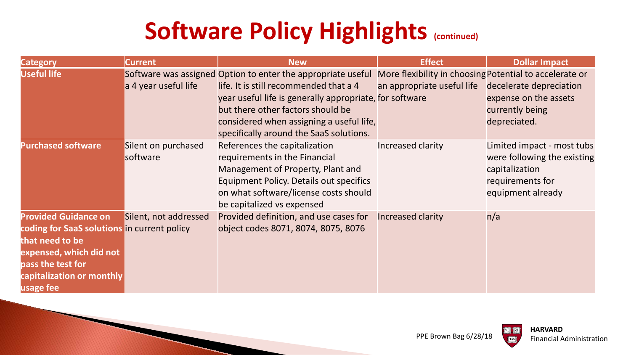## **Software Policy Highlights (continued)**

| <b>Category</b>                                                                                                                                                                         | <b>Current</b>                  | <b>New</b>                                                                                                                                                                                                                                                                                    | <b>Effect</b>                                                                         | <b>Dollar Impact</b>                                                                                                 |
|-----------------------------------------------------------------------------------------------------------------------------------------------------------------------------------------|---------------------------------|-----------------------------------------------------------------------------------------------------------------------------------------------------------------------------------------------------------------------------------------------------------------------------------------------|---------------------------------------------------------------------------------------|----------------------------------------------------------------------------------------------------------------------|
| <b>Useful life</b>                                                                                                                                                                      | a 4 year useful life            | Software was assigned Option to enter the appropriate useful<br>life. It is still recommended that a 4<br>year useful life is generally appropriate, for software<br>but there other factors should be<br>considered when assigning a useful life,<br>specifically around the SaaS solutions. | More flexibility in choosing Potential to accelerate or<br>an appropriate useful life | decelerate depreciation<br>expense on the assets<br>currently being<br>depreciated.                                  |
| <b>Purchased software</b>                                                                                                                                                               | Silent on purchased<br>software | References the capitalization<br>requirements in the Financial<br>Management of Property, Plant and<br><b>Equipment Policy. Details out specifics</b><br>on what software/license costs should<br>be capitalized vs expensed                                                                  | Increased clarity                                                                     | Limited impact - most tubs<br>were following the existing<br>capitalization<br>requirements for<br>equipment already |
| <b>Provided Guidance on</b><br>coding for SaaS solutions in current policy<br>that need to be<br>expensed, which did not<br>pass the test for<br>capitalization or monthly<br>usage fee | Silent, not addressed           | Provided definition, and use cases for<br>object codes 8071, 8074, 8075, 8076                                                                                                                                                                                                                 | <b>Increased clarity</b>                                                              | n/a                                                                                                                  |

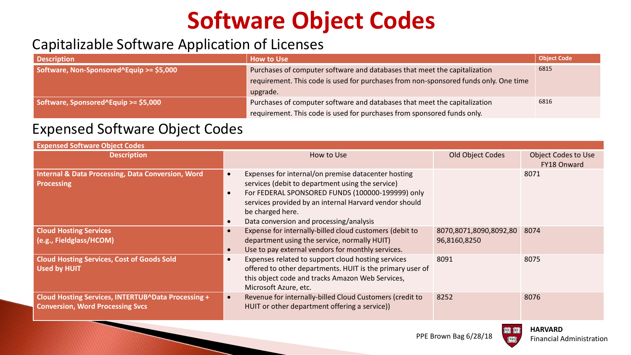# **Software Object Codes**

#### Capitalizable Software Application of Licenses

| <b>Description</b>                       | <b>How to Use</b>                                                                    | <b>Object Code</b> |
|------------------------------------------|--------------------------------------------------------------------------------------|--------------------|
| Software, Non-Sponsored^Equip >= \$5,000 | Purchases of computer software and databases that meet the capitalization            | 6815               |
|                                          | requirement. This code is used for purchases from non-sponsored funds only. One time |                    |
|                                          | upgrade.                                                                             |                    |
| Software, Sponsored^Equip >= \$5,000     | Purchases of computer software and databases that meet the capitalization            | 6816               |
|                                          | requirement. This code is used for purchases from sponsored funds only.              |                    |

#### Expensed Software Object Codes

| <b>Expensed Software Object Codes</b>                                                         |                                     |                                                                                                                                                                                                                                                                                      |                                        |                                           |
|-----------------------------------------------------------------------------------------------|-------------------------------------|--------------------------------------------------------------------------------------------------------------------------------------------------------------------------------------------------------------------------------------------------------------------------------------|----------------------------------------|-------------------------------------------|
| <b>Description</b>                                                                            |                                     | How to Use                                                                                                                                                                                                                                                                           | Old Object Codes                       | <b>Object Codes to Use</b><br>FY18 Onward |
| <b>Internal &amp; Data Processing, Data Conversion, Word</b><br><b>Processing</b>             | $\bullet$<br>$\bullet$<br>$\bullet$ | Expenses for internal/on premise datacenter hosting<br>services (debit to department using the service)<br>For FEDERAL SPONSORED FUNDS (100000-199999) only<br>services provided by an internal Harvard vendor should<br>be charged here.<br>Data conversion and processing/analysis |                                        | 8071                                      |
| <b>Cloud Hosting Services</b><br>(e.g., Fieldglass/HCOM)                                      | $\bullet$<br>$\bullet$              | Expense for internally-billed cloud customers (debit to<br>department using the service, normally HUIT)<br>Use to pay external vendors for monthly services.                                                                                                                         | 8070,8071,8090,8092,80<br>96,8160,8250 | 8074                                      |
| <b>Cloud Hosting Services, Cost of Goods Sold</b><br><b>Used by HUIT</b>                      | $\bullet$                           | Expenses related to support cloud hosting services<br>offered to other departments. HUIT is the primary user of<br>this object code and tracks Amazon Web Services,<br>Microsoft Azure, etc.                                                                                         | 8091                                   | 8075                                      |
| Cloud Hosting Services, INTERTUB^Data Processing +<br><b>Conversion, Word Processing Svcs</b> | $\bullet$                           | Revenue for internally-billed Cloud Customers (credit to<br>HUIT or other department offering a service))                                                                                                                                                                            | 8252                                   | 8076                                      |

PPE Brown Bag 6/28/18



ELIRIL